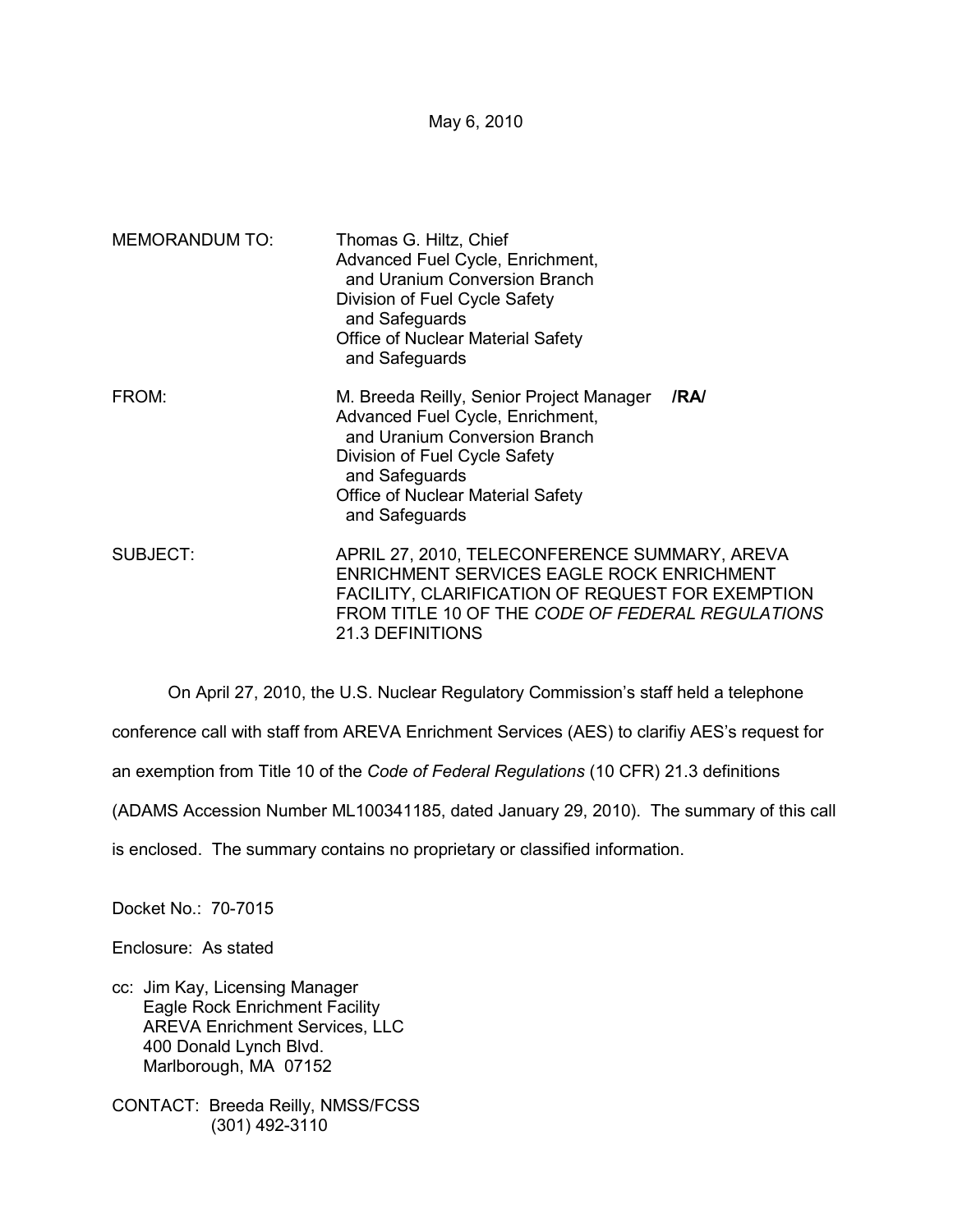May 6, 2010

| <b>MEMORANDUM TO:</b> | Thomas G. Hiltz, Chief<br>Advanced Fuel Cycle, Enrichment,<br>and Uranium Conversion Branch<br>Division of Fuel Cycle Safety<br>and Safeguards<br>Office of Nuclear Material Safety<br>and Safeguards                           |  |
|-----------------------|---------------------------------------------------------------------------------------------------------------------------------------------------------------------------------------------------------------------------------|--|
| FROM:                 | M. Breeda Reilly, Senior Project Manager<br>/RA/<br>Advanced Fuel Cycle, Enrichment,<br>and Uranium Conversion Branch<br>Division of Fuel Cycle Safety<br>and Safeguards<br>Office of Nuclear Material Safety<br>and Safeguards |  |
| SUBJECT:              | APRIL 27, 2010, TELECONFERENCE SUMMARY, AREVA<br>ENRICHMENT SERVICES EAGLE ROCK ENRICHMENT<br>FACILITY, CLARIFICATION OF REQUEST FOR EXEMPTION<br>FROM TITLE 10 OF THE CODE OF FEDERAL REGULATIONS<br><b>21.3 DEFINITIONS</b>   |  |

On April 27, 2010, the U.S. Nuclear Regulatory Commission's staff held a telephone

conference call with staff from AREVA Enrichment Services (AES) to clarifiy AES's request for

an exemption from Title 10 of the *Code of Federal Regulations* (10 CFR) 21.3 definitions

(ADAMS Accession Number ML100341185, dated January 29, 2010). The summary of this call

is enclosed. The summary contains no proprietary or classified information.

Docket No.: 70-7015

Enclosure: As stated

- cc: Jim Kay, Licensing Manager Eagle Rock Enrichment Facility AREVA Enrichment Services, LLC 400 Donald Lynch Blvd. Marlborough, MA 07152
- CONTACT: Breeda Reilly, NMSS/FCSS (301) 492-3110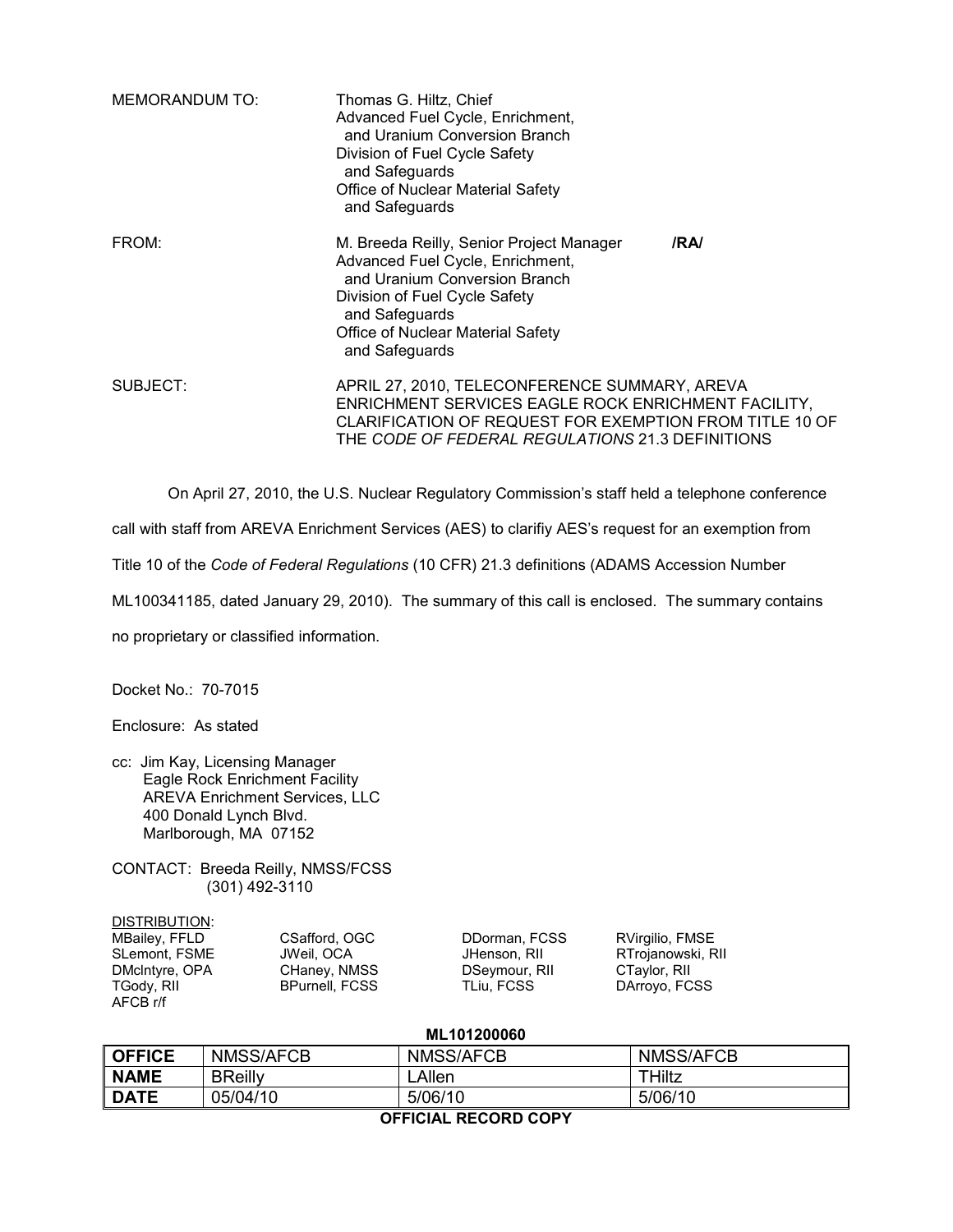| <b>MEMORANDUM TO:</b> | Thomas G. Hiltz, Chief<br>Advanced Fuel Cycle, Enrichment,<br>and Uranium Conversion Branch<br>Division of Fuel Cycle Safety<br>and Safeguards<br>Office of Nuclear Material Safety<br>and Safeguards                      |     |
|-----------------------|----------------------------------------------------------------------------------------------------------------------------------------------------------------------------------------------------------------------------|-----|
| FROM:                 | M. Breeda Reilly, Senior Project Manager<br>Advanced Fuel Cycle, Enrichment,<br>and Uranium Conversion Branch<br>Division of Fuel Cycle Safety<br>and Safeguards<br>Office of Nuclear Material Safety<br>and Safeguards    | /RA |
| SUBJECT:              | APRIL 27, 2010, TELECONFERENCE SUMMARY, AREVA<br>ENRICHMENT SERVICES EAGLE ROCK ENRICHMENT FACILITY,<br>CLARIFICATION OF REQUEST FOR EXEMPTION FROM TITLE 10 OF<br>THE <i>CODE OF FEDERAL REGULATIONS</i> 21.3 DEFINITIONS |     |

On April 27, 2010, the U.S. Nuclear Regulatory Commission's staff held a telephone conference

call with staff from AREVA Enrichment Services (AES) to clarifiy AES's request for an exemption from

Title 10 of the *Code of Federal Regulations* (10 CFR) 21.3 definitions (ADAMS Accession Number

ML100341185, dated January 29, 2010). The summary of this call is enclosed. The summary contains

no proprietary or classified information.

Docket No.: 70-7015

Enclosure: As stated

cc: Jim Kay, Licensing Manager Eagle Rock Enrichment Facility AREVA Enrichment Services, LLC 400 Donald Lynch Blvd. Marlborough, MA 07152

CONTACT: Breeda Reilly, NMSS/FCSS (301) 492-3110

| DISTRIBUTION:        |
|----------------------|
| <b>MBailey, FFLD</b> |
| <b>SLemont, FSME</b> |
| DMcIntyre, OPA       |
| TGody, RII           |
| AFCB r/f             |

MBailey, FFLD CSafford, OGC DDorman, FCSS RVirgilio, FMSE BPurnell, FCSS

JHenson, RII RTrojanowski, RII<br>DSeymour, RII CTaylor, RII CHaney, NMSS DSeymour, RII CTaylor, RII<br>BPurnell, FCSS TLiu, FCSS DArroyo, FCSS

## **ML101200060**

| <b>OFFICE</b> | NMSS/AFCB      | NMSS/AFCB     | NMSS/AFCB |
|---------------|----------------|---------------|-----------|
| <b>NAME</b>   | <b>BReilly</b> | <b>_Allen</b> | THiltz    |
| <b>DATE</b>   | 05/04/10       | 5/06/10       | 5/06/10   |

## **OFFICIAL RECORD COPY**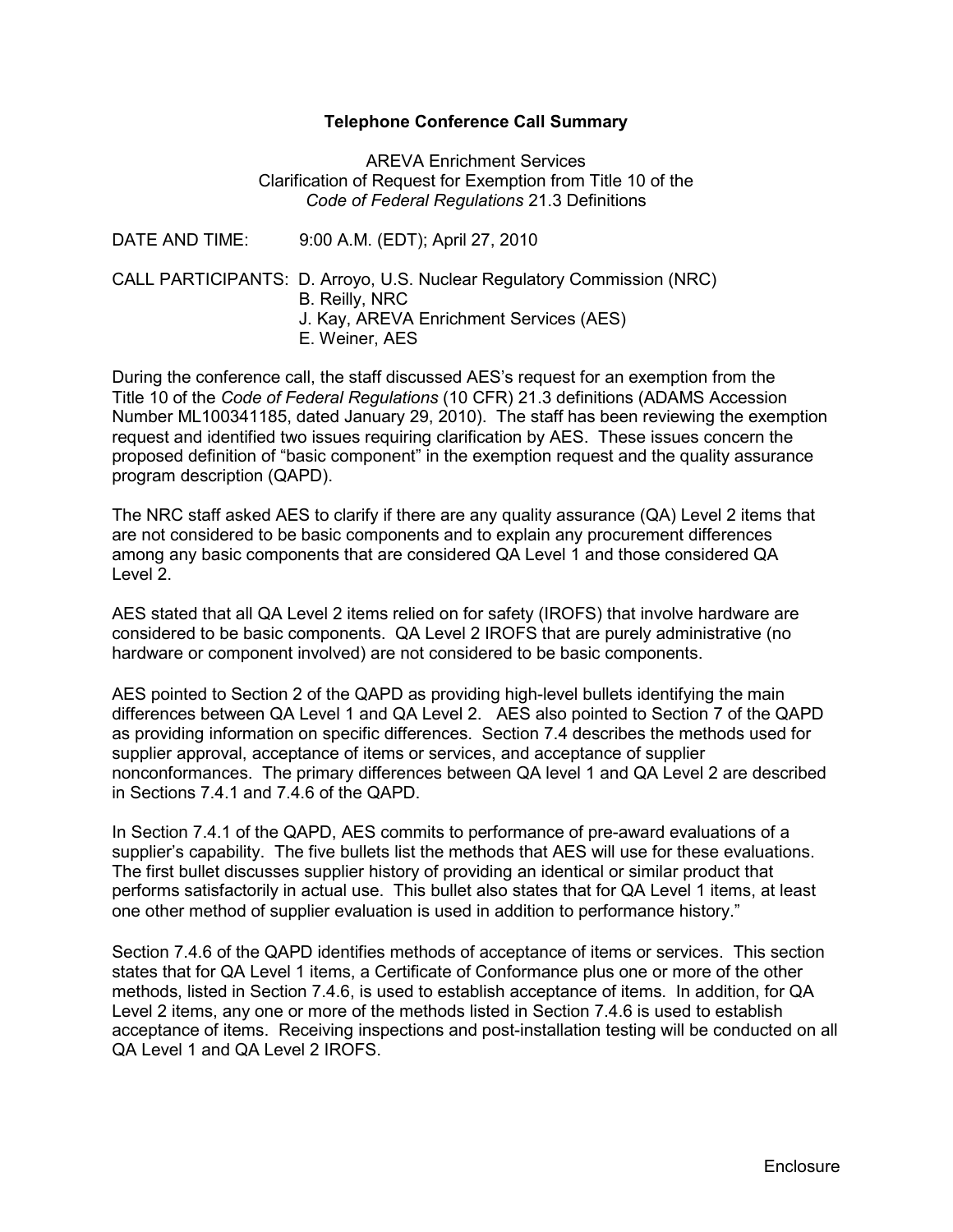## **Telephone Conference Call Summary**

AREVA Enrichment Services Clarification of Request for Exemption from Title 10 of the *Code of Federal Regulations* 21.3 Definitions

| DATE AND TIME: | 9:00 A.M. (EDT); April 27, 2010                                                                                                                       |
|----------------|-------------------------------------------------------------------------------------------------------------------------------------------------------|
|                | CALL PARTICIPANTS: D. Arroyo, U.S. Nuclear Regulatory Commission (NRC)<br>B. Reilly, NRC<br>J. Kay, AREVA Enrichment Services (AES)<br>E. Weiner, AES |

During the conference call, the staff discussed AES's request for an exemption from the Title 10 of the *Code of Federal Regulations* (10 CFR) 21.3 definitions (ADAMS Accession Number ML100341185, dated January 29, 2010). The staff has been reviewing the exemption request and identified two issues requiring clarification by AES. These issues concern the proposed definition of "basic component" in the exemption request and the quality assurance program description (QAPD).

The NRC staff asked AES to clarify if there are any quality assurance (QA) Level 2 items that are not considered to be basic components and to explain any procurement differences among any basic components that are considered QA Level 1 and those considered QA Level 2.

AES stated that all QA Level 2 items relied on for safety (IROFS) that involve hardware are considered to be basic components. QA Level 2 IROFS that are purely administrative (no hardware or component involved) are not considered to be basic components.

AES pointed to Section 2 of the QAPD as providing high-level bullets identifying the main differences between QA Level 1 and QA Level 2. AES also pointed to Section 7 of the QAPD as providing information on specific differences. Section 7.4 describes the methods used for supplier approval, acceptance of items or services, and acceptance of supplier nonconformances. The primary differences between QA level 1 and QA Level 2 are described in Sections 7.4.1 and 7.4.6 of the QAPD.

In Section 7.4.1 of the QAPD, AES commits to performance of pre-award evaluations of a supplier's capability. The five bullets list the methods that AES will use for these evaluations. The first bullet discusses supplier history of providing an identical or similar product that performs satisfactorily in actual use. This bullet also states that for QA Level 1 items, at least one other method of supplier evaluation is used in addition to performance history."

Section 7.4.6 of the QAPD identifies methods of acceptance of items or services. This section states that for QA Level 1 items, a Certificate of Conformance plus one or more of the other methods, listed in Section 7.4.6, is used to establish acceptance of items. In addition, for QA Level 2 items, any one or more of the methods listed in Section 7.4.6 is used to establish acceptance of items. Receiving inspections and post-installation testing will be conducted on all QA Level 1 and QA Level 2 IROFS.